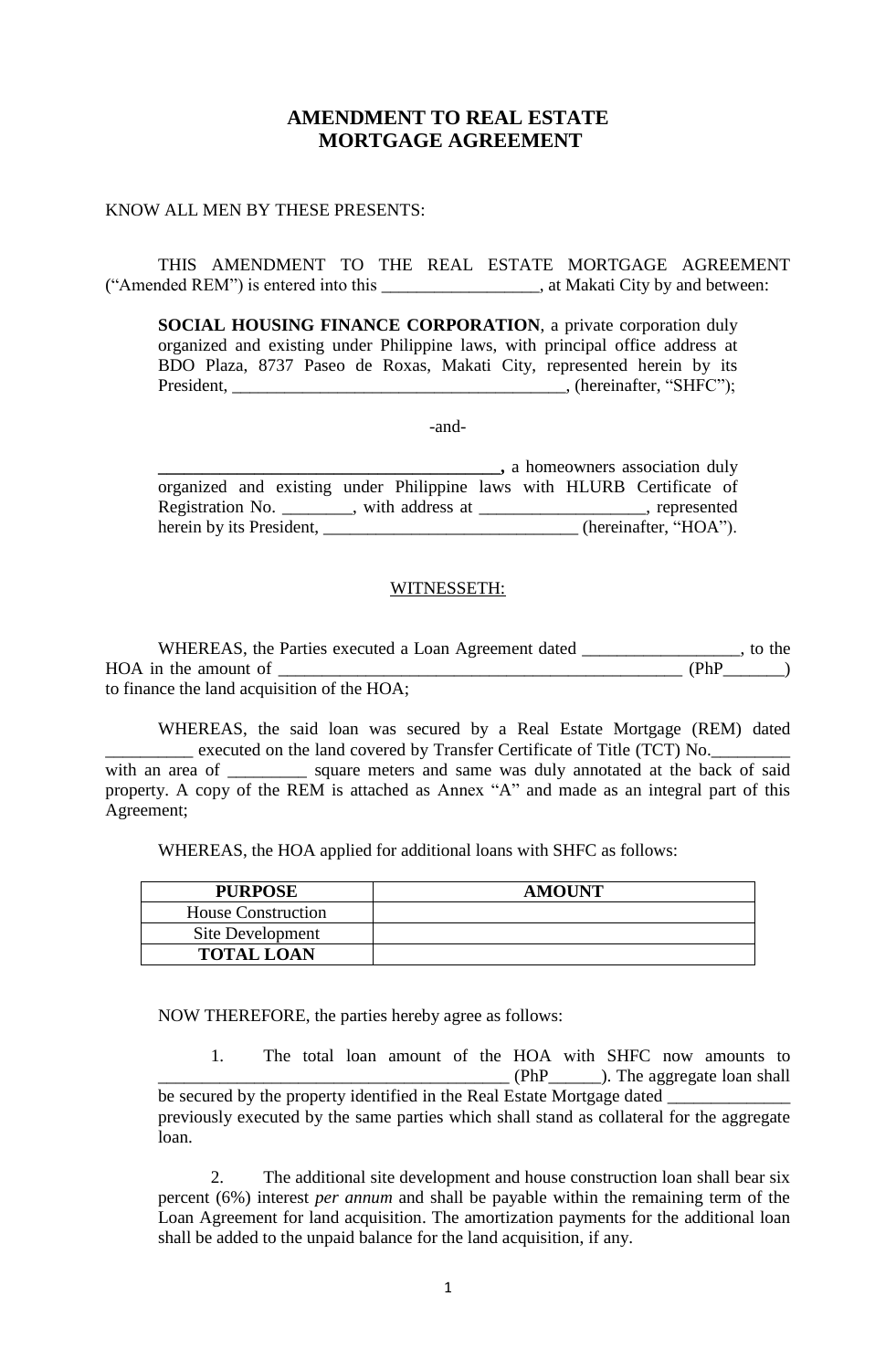# **AMENDMENT TO REAL ESTATE MORTGAGE AGREEMENT**

#### KNOW ALL MEN BY THESE PRESENTS:

Agreement;

THIS AMENDMENT TO THE REAL ESTATE MORTGAGE AGREEMENT ("Amended REM") is entered into this \_\_\_\_\_\_\_\_\_\_\_\_\_\_\_\_\_\_, at Makati City by and between:

**SOCIAL HOUSING FINANCE CORPORATION**, a private corporation duly organized and existing under Philippine laws, with principal office address at BDO Plaza, 8737 Paseo de Roxas, Makati City, represented herein by its President, \_\_\_\_\_\_\_\_\_\_\_\_\_\_\_\_\_\_\_\_\_\_\_\_\_\_\_\_\_\_\_\_\_\_\_\_\_\_, (hereinafter, "SHFC");

-and-

|                                                                        |  |  | , a homeowners association duly |  |
|------------------------------------------------------------------------|--|--|---------------------------------|--|
| organized and existing under Philippine laws with HLURB Certificate of |  |  |                                 |  |
| Registration No. _________, with address at                            |  |  | , represented                   |  |
| herein by its President,                                               |  |  | (hereinafter, "HOA").           |  |

### WITNESSETH:

WHEREAS, the Parties executed a Loan Agreement dated \_\_\_\_\_\_\_\_\_\_\_\_\_\_\_\_\_\_, to the  $HOA$  in the amount of  $(PhP \t)$ to finance the land acquisition of the HOA;

WHEREAS, the said loan was secured by a Real Estate Mortgage (REM) dated \_\_\_\_\_\_\_\_\_\_ executed on the land covered by Transfer Certificate of Title (TCT) No.\_\_\_\_\_\_\_\_\_ with an area of \_\_\_\_\_\_\_\_\_ square meters and same was duly annotated at the back of said property. A copy of the REM is attached as Annex "A" and made as an integral part of this

WHEREAS, the HOA applied for additional loans with SHFC as follows:

| <b>PURPOSE</b>            | <b>AMOUNT</b> |
|---------------------------|---------------|
| <b>House Construction</b> |               |
| Site Development          |               |
| <b>TOTAL LOAN</b>         |               |

NOW THEREFORE, the parties hereby agree as follows:

1. The total loan amount of the HOA with SHFC now amounts to \_\_\_\_\_\_\_\_\_\_\_\_\_\_\_\_\_\_\_\_\_\_\_\_\_\_\_\_\_\_\_\_\_\_\_\_\_\_\_\_ (PhP\_\_\_\_\_\_). The aggregate loan shall be secured by the property identified in the Real Estate Mortgage dated \_\_\_\_\_\_\_\_\_ previously executed by the same parties which shall stand as collateral for the aggregate loan.

2. The additional site development and house construction loan shall bear six percent (6%) interest *per annum* and shall be payable within the remaining term of the Loan Agreement for land acquisition. The amortization payments for the additional loan shall be added to the unpaid balance for the land acquisition, if any.